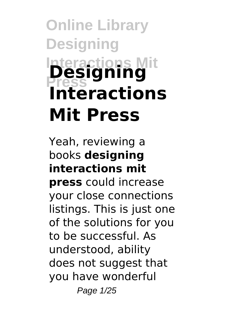# **Online Library Designing Interactions Mit Press Designing Interactions Mit Press**

#### Yeah, reviewing a books **designing interactions mit**

**press** could increase your close connections listings. This is just one of the solutions for you to be successful. As understood, ability does not suggest that you have wonderful Page 1/25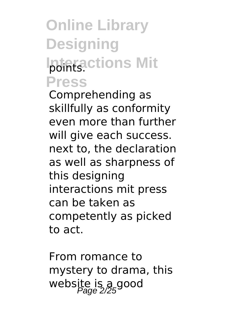### **Online Library Designing Iptintactions Mit Press**

Comprehending as skillfully as conformity even more than further will give each success. next to, the declaration as well as sharpness of this designing interactions mit press can be taken as competently as picked to act.

From romance to mystery to drama, this website is a good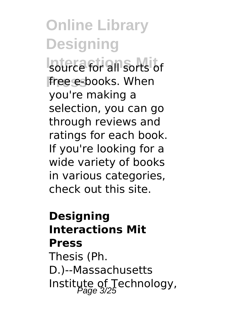source for all sorts of free e-books. When you're making a selection, you can go through reviews and ratings for each book. If you're looking for a wide variety of books in various categories, check out this site.

### **Designing Interactions Mit Press**

Thesis (Ph. D.)--Massachusetts Institute of Technology,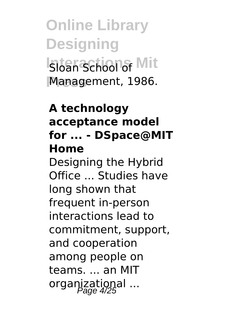**Online Library Designing Sloan School of Mit Press** Management, 1986.

#### **A technology acceptance model for ... - DSpace@MIT Home**

Designing the Hybrid Office ... Studies have long shown that frequent in-person interactions lead to commitment, support, and cooperation among people on teams. ... an MIT organizational ...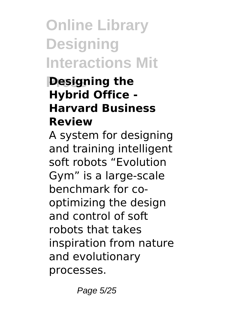## **Online Library Designing Interactions Mit**

#### **Designing the Hybrid Office - Harvard Business Review**

A system for designing and training intelligent soft robots "Evolution Gym" is a large-scale benchmark for cooptimizing the design and control of soft robots that takes inspiration from nature and evolutionary processes.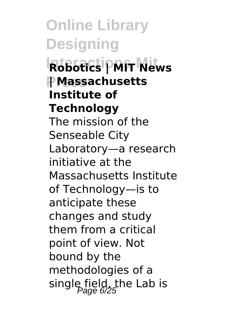**Online Library Designing Interactions Mit Robotics | MIT News Press | Massachusetts Institute of Technology** The mission of the Senseable City Laboratory—a research initiative at the Massachusetts Institute of Technology—is to anticipate these changes and study them from a critical point of view. Not bound by the methodologies of a single field, the Lab is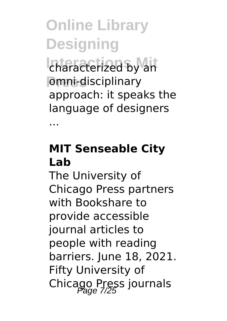characterized by an **Press** omni-disciplinary approach: it speaks the language of designers

...

#### **MIT Senseable City Lab**

The University of Chicago Press partners with Bookshare to provide accessible journal articles to people with reading barriers. June 18, 2021. Fifty University of Chicago Press journals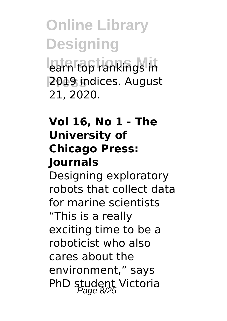**Online Library Designing** earn top rankings in **Press** 2019 indices. August 21, 2020.

#### **Vol 16, No 1 - The University of Chicago Press: Journals**

Designing exploratory robots that collect data for marine scientists "This is a really exciting time to be a roboticist who also cares about the environment," says PhD student Victoria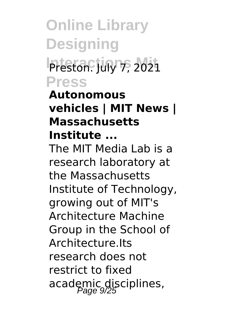**Online Library Designing Preston. July 7, 2021 Press**

#### **Autonomous vehicles | MIT News | Massachusetts Institute ...**

The MIT Media Lab is a research laboratory at the Massachusetts Institute of Technology, growing out of MIT's Architecture Machine Group in the School of Architecture.Its research does not restrict to fixed academic disciplines,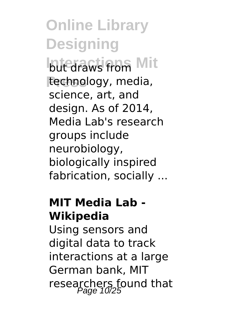**but draws from Mit Press** technology, media, science, art, and design. As of 2014, Media Lab's research groups include neurobiology, biologically inspired fabrication, socially ...

#### **MIT Media Lab - Wikipedia**

Using sensors and digital data to track interactions at a large German bank, MIT researchers found that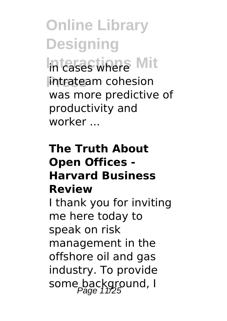**Online Library Designing In cases where Mit Press** intrateam cohesion was more predictive of productivity and worker ...

#### **The Truth About Open Offices - Harvard Business Review**

I thank you for inviting me here today to speak on risk management in the offshore oil and gas industry. To provide some background, I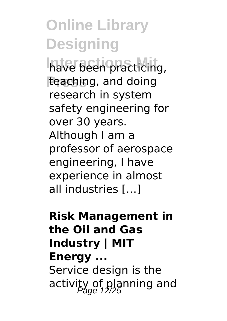have been practicing, **Press** teaching, and doing research in system safety engineering for over 30 years. Although I am a professor of aerospace engineering, I have experience in almost all industries […]

#### **Risk Management in the Oil and Gas Industry | MIT Energy ...** Service design is the

activity of planning and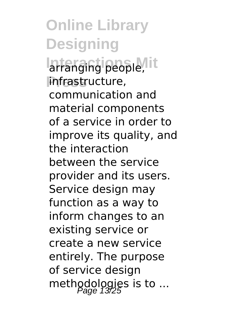#### **Online Library Designing** arranging people, it **Press** infrastructure, communication and material components of a service in order to improve its quality, and the interaction between the service provider and its users. Service design may function as a way to inform changes to an existing service or create a new service entirely. The purpose of service design methodologies is to ...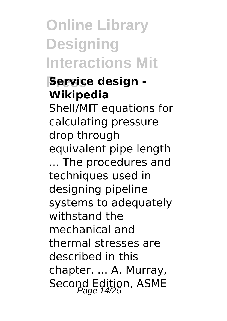**Online Library Designing Interactions Mit**

#### **Press Service design - Wikipedia**

Shell/MIT equations for calculating pressure drop through equivalent pipe length ... The procedures and techniques used in designing pipeline systems to adequately withstand the mechanical and thermal stresses are described in this chapter. ... A. Murray, Second Edition, ASME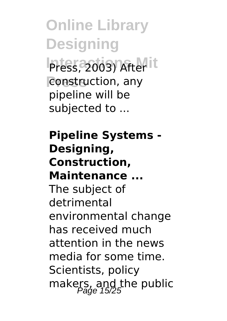**Online Library Designing** Press, 2003) After it **Press** construction, any pipeline will be subjected to ...

**Pipeline Systems - Designing, Construction, Maintenance ...** The subject of detrimental environmental change has received much attention in the news media for some time. Scientists, policy makers, and the public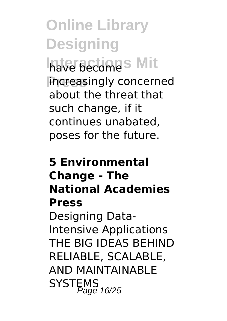**Online Library Designing** have become<sup>s</sup> Mit **increasingly concerned** about the threat that such change, if it continues unabated, poses for the future.

#### **5 Environmental Change - The National Academies Press** Designing Data-Intensive Applications THE BIG IDEAS BEHIND RELIABLE, SCALABLE, AND MAINTAINABLE SYSTEMS<br>Page 16/25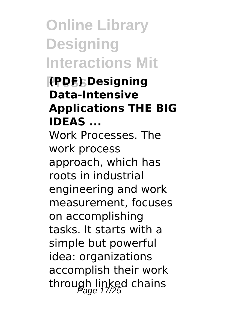**Online Library Designing Interactions Mit**

#### **Press (PDF) Designing Data-Intensive Applications THE BIG IDEAS ...**

Work Processes. The work process approach, which has roots in industrial engineering and work measurement, focuses on accomplishing tasks. It starts with a simple but powerful idea: organizations accomplish their work through linked chains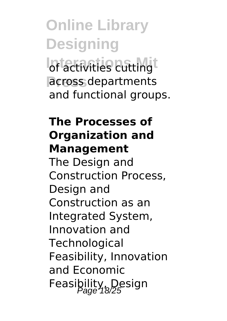### **Online Library Designing Iof activities cutting**t **Press** across departments and functional groups.

#### **The Processes of Organization and Management**

The Design and Construction Process, Design and Construction as an Integrated System, Innovation and **Technological** Feasibility, Innovation and Economic Feasibility, Design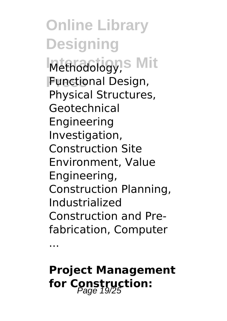**Online Library Designing Methodology, S Mit Press** Functional Design, Physical Structures, Geotechnical Engineering Investigation, Construction Site Environment, Value Engineering, Construction Planning, Industrialized Construction and Prefabrication, Computer

...

### **Project Management** for Construction: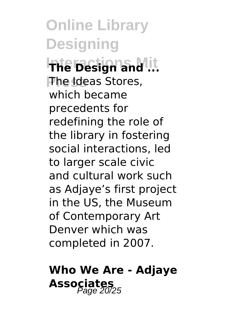**Online Library Designing Interactions Mit The Design and ... Press** The Ideas Stores, which became precedents for redefining the role of the library in fostering social interactions, led to larger scale civic and cultural work such as Adjaye's first project in the US, the Museum of Contemporary Art Denver which was completed in 2007.

### **Who We Are - Adjaye** Associates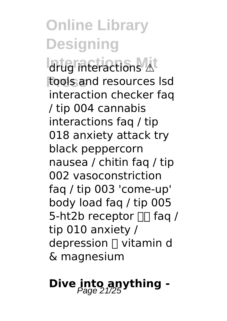**Interactions Mit** drug interactions ⚠️ **Press** tools and resources lsd interaction checker faq / tip 004 cannabis interactions faq / tip 018 anxiety attack try black peppercorn nausea / chitin faq / tip 002 vasoconstriction faq / tip 003 'come-up' body load faq / tip 005 5-ht2b receptor  $\Box \Box$  fag / tip 010 anxiety / depression ⤴️ vitamin d & magnesium

## **Dive into anything -**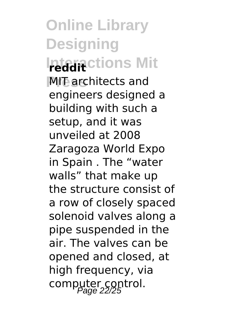**Online Library Designing** *Interactions Mit* **MIT** architects and engineers designed a building with such a setup, and it was unveiled at 2008 Zaragoza World Expo in Spain . The "water walls" that make up the structure consist of a row of closely spaced solenoid valves along a pipe suspended in the air. The valves can be opened and closed, at high frequency, via computer control.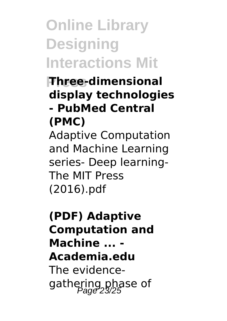## **Online Library Designing Interactions Mit**

#### **Press Three-dimensional display technologies - PubMed Central (PMC)**

Adaptive Computation and Machine Learning series- Deep learning-The MIT Press (2016).pdf

#### **(PDF) Adaptive Computation and Machine ... - Academia.edu** The evidencegathering phase of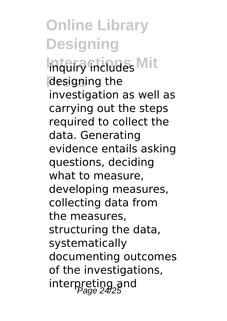**Online Library Designing Inquiry includes Mit Press** designing the investigation as well as carrying out the steps required to collect the data. Generating evidence entails asking questions, deciding what to measure, developing measures, collecting data from the measures, structuring the data, systematically documenting outcomes of the investigations, interpreting and